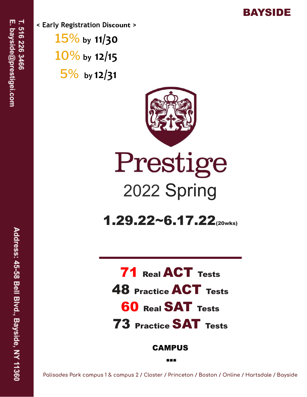

**< Early Registration Discount >** 15% **by 11/30** 10% **by 12/15** 5% **by 12/31**



## Prestige 2022 Spring

 $1.29.22~6.17.22$ (20wks)

71 Real ACT Tests 48 Practice ACT Tests **60 Real SAT Tests** 73 Practice SAT Tests **CAMPUS** 

Palisades Park campus 1 & campus 2 / Closter / Princeton / Boston / Online / Hartsdale / Bayside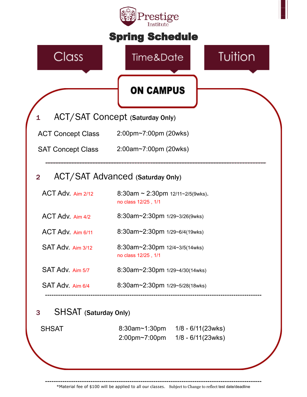

\*Material fee of \$100 will be applied to all our classes. Subject to Change to reflect test date/deadline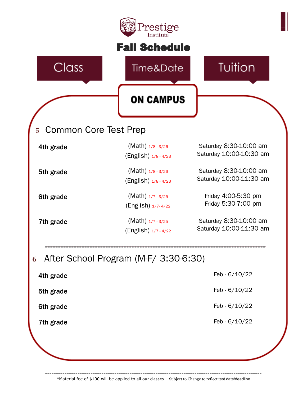|                         | Prestige<br>Institute                         |                                                   |
|-------------------------|-----------------------------------------------|---------------------------------------------------|
|                         | <b>Fall Schedule</b>                          |                                                   |
| Class                   | Time&Date                                     | Tuition                                           |
|                         | <b>ON CAMPUS</b>                              |                                                   |
| 5 Common Core Test Prep |                                               |                                                   |
| 4th grade               | $(Math)$ $1/8 - 3/26$<br>(English) 1/8 - 4/23 | Saturday 8:30-10:00 am<br>Saturday 10:00-10:30 am |
| 5th grade               | $(Math)$ $1/8 - 3/26$<br>(English) 1/8 - 4/23 | Saturday 8:30-10:00 am<br>Saturday 10:00-11:30 am |
| 6th grade               | $(Math)$ $1/7 - 3/25$<br>(English) 1/7-4/22   | Friday 4:00-5:30 pm<br>Friday 5:30-7:00 pm        |
| 7th grade               | $(Math)$ $1/7 - 3/25$<br>(English) 1/7 - 4/22 | Saturday 8:30-10:00 am<br>Saturday 10:00-11:30 am |
| 6                       | After School Program (M-F/ 3:30-6:30)         |                                                   |
| 4th grade               |                                               | Feb - 6/10/22                                     |
| 5th grade               |                                               | Feb - 6/10/22                                     |
| 6th grade               |                                               | Feb - $6/10/22$                                   |
| 7th grade               |                                               | Feb - 6/10/22                                     |

**----------------------------------------------------------------------------------------------------** \*Material fee of \$100 will be applied to all our classes. Subject to Change to reflect test date/deadline